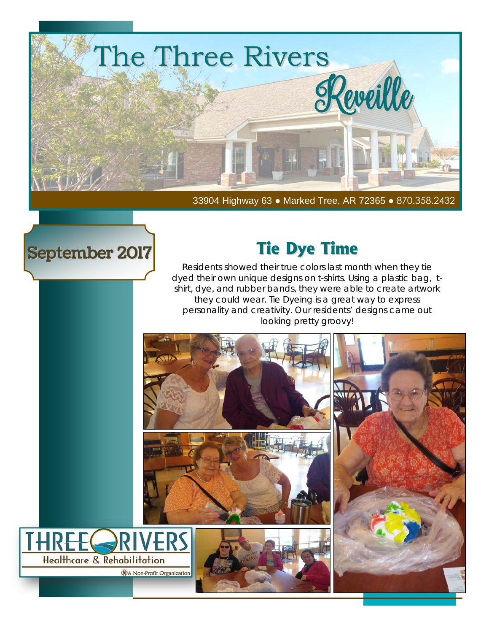

33904 Highway 63 ● Marked Tree, AR 72365 ● 870.358.2432

### September 2017

### **Tie Dye Time**

Residents showed their true colors last month when they tie dyed their own unique designs on t-shirts. Using a plastic bag, tshirt, dye, and rubber bands, they were able to create artwork they could wear. Tie Dyeing is a great way to express personality and creativity. Our residents' designs came out looking pretty groovy!

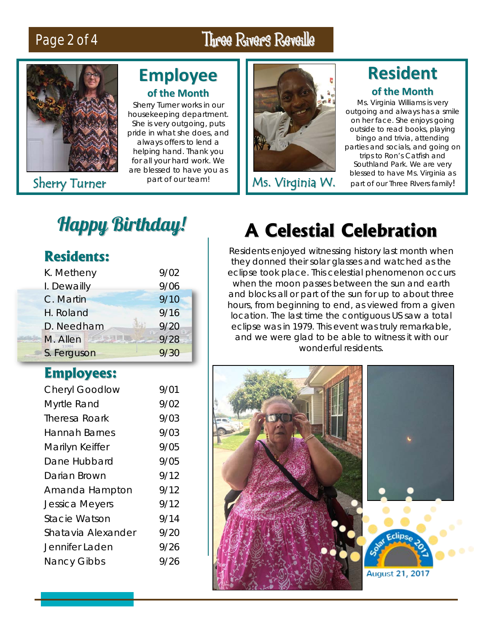### Page 2 of 4 Three Rivers Reveille



### **Employee of the Month**

Sherry Turner works in our housekeeping department. She is very outgoing, puts pride in what she does, and always offers to lend a helping hand. Thank you for all your hard work. We are blessed to have you as



Sherry Turner part of our team! Ms. Virginia W.

### **Resident of the Month**

Ms. Virginia Williams is very outgoing and always has a smile on her face. She enjoys going outside to read books, playing bingo and trivia, attending parties and socials, and going on trips to Ron's Catfish and Southland Park. We are very blessed to have Ms. Virginia as part of our Three RIvers family!

## Happy Birthday!

| <b>Residents:</b> |  |
|-------------------|--|
|-------------------|--|

| K. Metheny  | 9/02 |
|-------------|------|
| I. Dewailly | 9/06 |
| C. Martin   | 9/10 |
| H. Roland   | 9/16 |
| D. Needham  | 9/20 |
| M. Allen    | 9/28 |
| S. Ferguson | 9/30 |

### **Employees:**

| <b>Cheryl Goodlow</b> | 9/01 |
|-----------------------|------|
| Myrtle Rand           | 9/02 |
| <b>Theresa Roark</b>  | 9/03 |
| Hannah Barnes         | 9/03 |
| Marilyn Keiffer       | 9/05 |
| Dane Hubbard          | 9/05 |
| Darian Brown          | 9/12 |
| Amanda Hampton        | 9/12 |
| <b>Jessica Meyers</b> | 9/12 |
| <b>Stacie Watson</b>  | 9/14 |
| Shatavia Alexander    | 9/20 |
| Jennifer Laden        | 9/26 |
| <b>Nancy Gibbs</b>    | 9/26 |
|                       |      |

## **A Celestial Celebration**

Residents enjoyed witnessing history last month when they donned their solar glasses and watched as the eclipse took place. This celestial phenomenon occurs when the moon passes between the sun and earth and blocks all or part of the sun for up to about three hours, from beginning to end, as viewed from a given location. The last time the contiguous US saw a total eclipse was in 1979. This event was truly remarkable, and we were glad to be able to witness it with our wonderful residents.

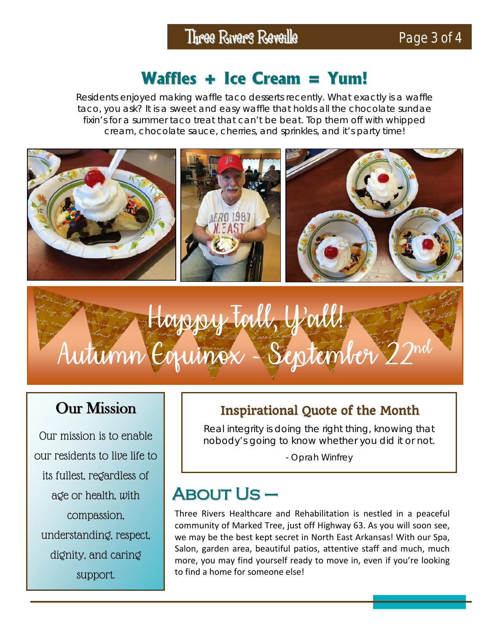### **Waffles + Ice Cream = Yum!**

Residents enjoyed making waffle taco desserts recently. What exactly is a waffle taco, you ask? It is a sweet and easy waffle that holds all the chocolate sundae fixin's for a summer taco treat that can't be beat. Top them off with whipped cream, chocolate sauce, cherries, and sprinkles, and it's party time!



# Happy Fall, Y'all! Autumn Equinox - September 22nd

### Our Mission

Our mission is to enable our residents to live life to its fullest, regardless of age or health, with compassion, understanding, respect, dignity, and caring support.

### Inspirational Quote of the Month

Real integrity is doing the right thing, knowing that nobody's going to know whether you did it or not.

- Oprah Winfrey

### About Us –

Three Rivers Healthcare and Rehabilitation is nestled in a peaceful community of Marked Tree, just off Highway 63. As you will soon see, we may be the best kept secret in North East Arkansas! With our Spa, Salon, garden area, beautiful patios, attentive staff and much, much more, you may find yourself ready to move in, even if you're looking to find a home for someone else!